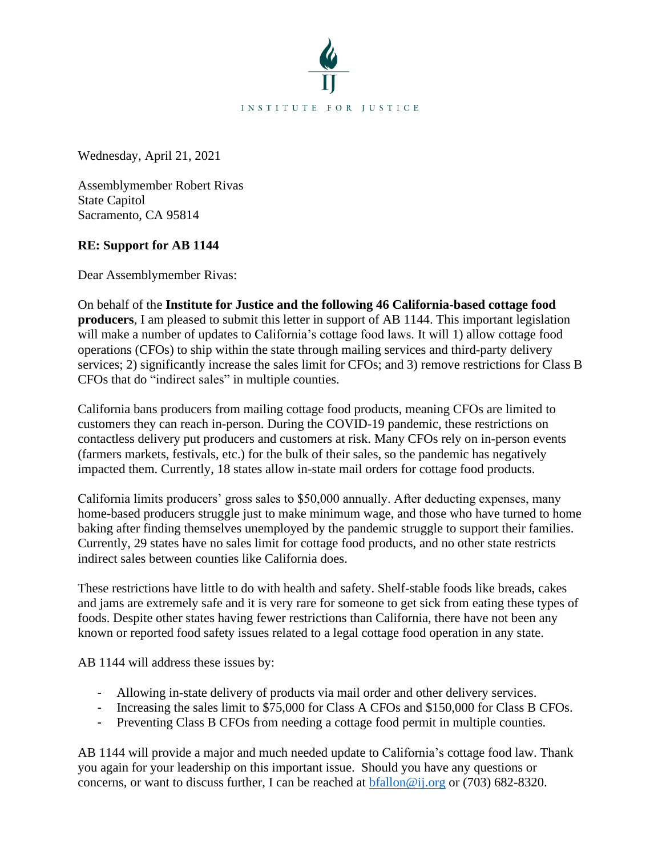

Wednesday, April 21, 2021

Assemblymember Robert Rivas State Capitol Sacramento, CA 95814

## **RE: Support for AB 1144**

Dear Assemblymember Rivas:

On behalf of the **Institute for Justice and the following 46 California-based cottage food producers**, I am pleased to submit this letter in support of AB 1144. This important legislation will make a number of updates to California's cottage food laws. It will 1) allow cottage food operations (CFOs) to ship within the state through mailing services and third-party delivery services; 2) significantly increase the sales limit for CFOs; and 3) remove restrictions for Class B CFOs that do "indirect sales" in multiple counties.

California bans producers from mailing cottage food products, meaning CFOs are limited to customers they can reach in-person. During the COVID-19 pandemic, these restrictions on contactless delivery put producers and customers at risk. Many CFOs rely on in-person events (farmers markets, festivals, etc.) for the bulk of their sales, so the pandemic has negatively impacted them. Currently, 18 states allow in-state mail orders for cottage food products.

California limits producers' gross sales to \$50,000 annually. After deducting expenses, many home-based producers struggle just to make minimum wage, and those who have turned to home baking after finding themselves unemployed by the pandemic struggle to support their families. Currently, 29 states have no sales limit for cottage food products, and no other state restricts indirect sales between counties like California does.

These restrictions have little to do with health and safety. Shelf-stable foods like breads, cakes and jams are extremely safe and it is very rare for someone to get sick from eating these types of foods. Despite other states having fewer restrictions than California, there have not been any known or reported food safety issues related to a legal cottage food operation in any state.

AB 1144 will address these issues by:

- Allowing in-state delivery of products via mail order and other delivery services.
- Increasing the sales limit to \$75,000 for Class A CFOs and \$150,000 for Class B CFOs.
- Preventing Class B CFOs from needing a cottage food permit in multiple counties.

AB 1144 will provide a major and much needed update to California's cottage food law. Thank you again for your leadership on this important issue. Should you have any questions or concerns, or want to discuss further, I can be reached at  $b$ fallon@ij.org or (703) 682-8320.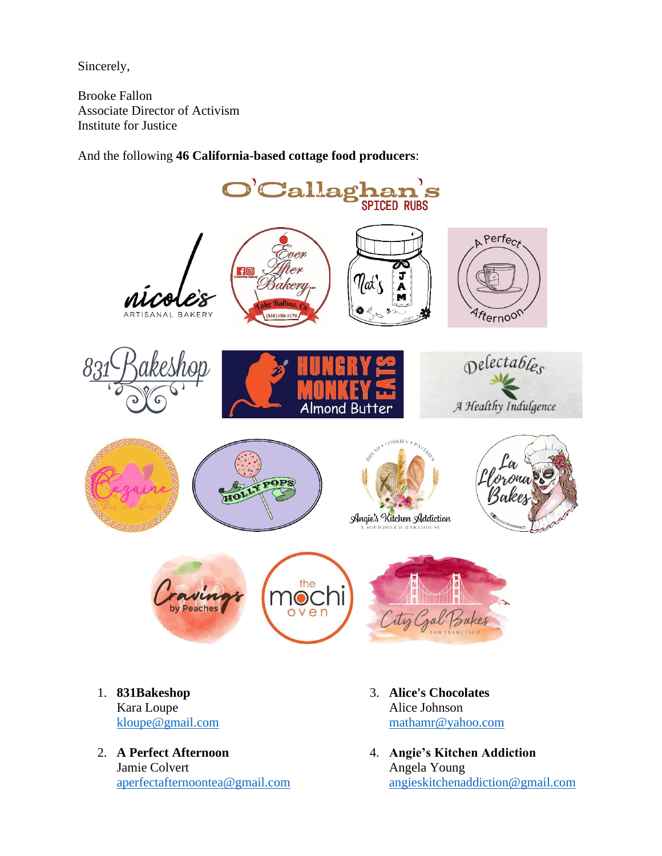Sincerely,

Brooke Fallon Associate Director of Activism Institute for Justice

And the following **46 California-based cottage food producers**:



- [kloupe@gmail.com](mailto:kloupe@gmail.com)
- 2. **A Perfect Afternoon** Jamie Colvert [aperfectafternoontea@gmail.com](mailto:aperfectafternoontea@gmail.com)
- [mathamr@yahoo.com](mailto:mathamr@yahoo.com)
- 4. **Angie's Kitchen Addiction** Angela Young [angieskitchenaddiction@gmail.com](mailto:angieskitchenaddiction@gmail.com)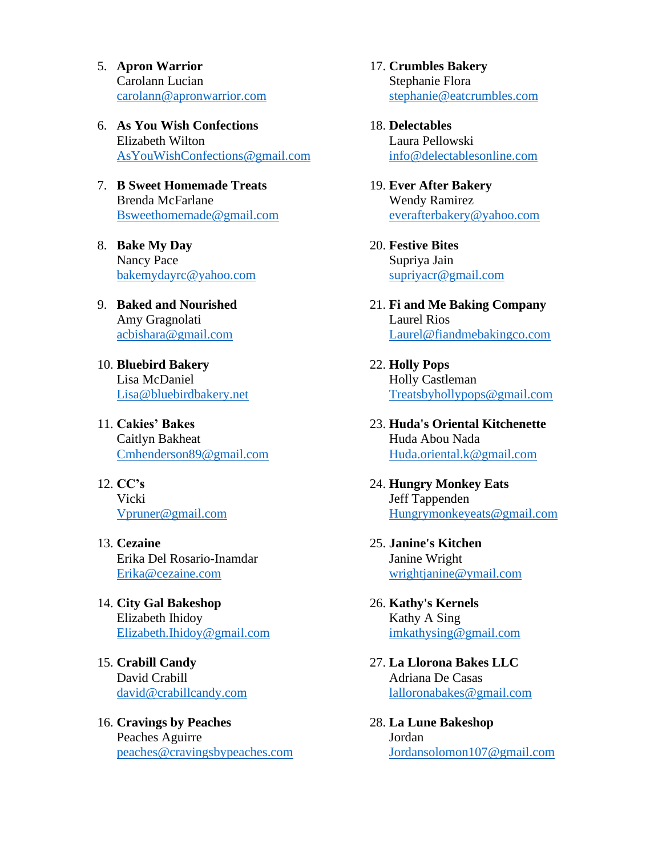- 5. **Apron Warrior** Carolann Lucian [carolann@apronwarrior.com](mailto:carolann@apronwarrior.com)
- 6. **As You Wish Confections** Elizabeth Wilton [AsYouWishConfections@gmail.com](mailto:AsYouWishConfections@gmail.com)
- 7. **B Sweet Homemade Treats** Brenda McFarlane [Bsweethomemade@gmail.com](mailto:Bsweethomemade@gmail.com)
- 8. **Bake My Day** Nancy Pace [bakemydayrc@yahoo.com](mailto:bakemydayrc@yahoo.com)
- 9. **Baked and Nourished** Amy Gragnolati [acbishara@gmail.com](mailto:acbishara@gmail.com)
- 10. **Bluebird Bakery** Lisa McDaniel [Lisa@bluebirdbakery.net](mailto:Lisa@bluebirdbakery.net)
- 11. **Cakies' Bakes** Caitlyn Bakheat [Cmhenderson89@gmail.com](mailto:Cmhenderson89@gmail.com)
- 12. **CC's** Vicki [Vpruner@gmail.com](mailto:Vpruner@gmail.com)
- 13. **Cezaine** Erika Del Rosario-Inamdar [Erika@cezaine.com](mailto:Erika@cezaine.com)
- 14. **City Gal Bakeshop** Elizabeth Ihidoy [Elizabeth.Ihidoy@gmail.com](mailto:Elizabeth.Ihidoy@gmail.com)
- 15. **Crabill Candy** David Crabill [david@crabillcandy.com](mailto:david@crabillcandy.com)
- 16. **Cravings by Peaches** Peaches Aguirre [peaches@cravingsbypeaches.com](mailto:peaches@cravingsbypeaches.com)

17. **Crumbles Bakery** Stephanie Flora [stephanie@eatcrumbles.com](mailto:stephanie@eatcrumbles.com)

- 18. **Delectables** Laura Pellowski [info@delectablesonline.com](mailto:info@delectablesonline.com)
- 19. **Ever After Bakery** Wendy Ramirez [everafterbakery@yahoo.com](mailto:everafterbakery@yahoo.com)
- 20. **Festive Bites** Supriya Jain [supriyacr@gmail.com](mailto:supriyacr@gmail.com)
- 21. **Fi and Me Baking Company** Laurel Rios [Laurel@fiandmebakingco.com](mailto:Laurel@fiandmebakingco.com)
- 22. **Holly Pops** Holly Castleman [Treatsbyhollypops@gmail.com](mailto:Treatsbyhollypops@gmail.com)
- 23. **Huda's Oriental Kitchenette**  Huda Abou Nada [Huda.oriental.k@gmail.com](mailto:Huda.oriental.k@gmail.com)
- 24. **Hungry Monkey Eats** Jeff Tappenden [Hungrymonkeyeats@gmail.com](mailto:Hungrymonkeyeats@gmail.com)
- 25. **Janine's Kitchen** Janine Wright [wrightjanine@ymail.com](mailto:wrightjanine@ymail.com)
- 26. **Kathy's Kernels** Kathy A Sing [imkathysing@gmail.com](mailto:imkathysing@gmail.com)
- 27. **La Llorona Bakes LLC** Adriana De Casas [lalloronabakes@gmail.com](mailto:lalloronabakes@gmail.com)
- 28. **La Lune Bakeshop** Jordan [Jordansolomon107@gmail.com](mailto:Jordansolomon107@gmail.com)